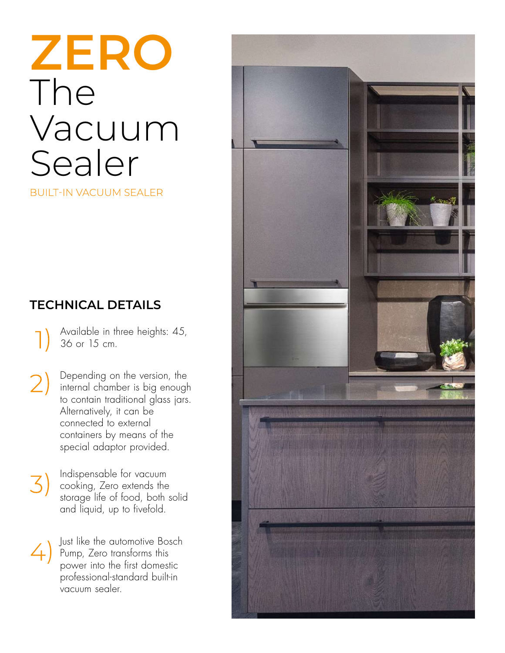# **ZERO** The Vacuum Sealer

**BUILT-IN VACUUM SEALER** 

## **TECHNICAL DETAILS**

Available in three heights: 45, D 36 or 15 cm.

Depending on the version, the Depenaing on me your comparable prough<br>internal chamber is big enough  $\left( 2\right)$ to contain traditional glass jars. Alternatively, it can be connected to external containers by means of the special adaptor provided.

Indispensable for vacuum 3) cooking, Zero extends the storage life of food, both solid and liquid, up to fivefold.

Just like the automotive Bosch  $\angle$ Pump, Zero transforms this power into the first domestic professional-standard built-in vacuum sealer.

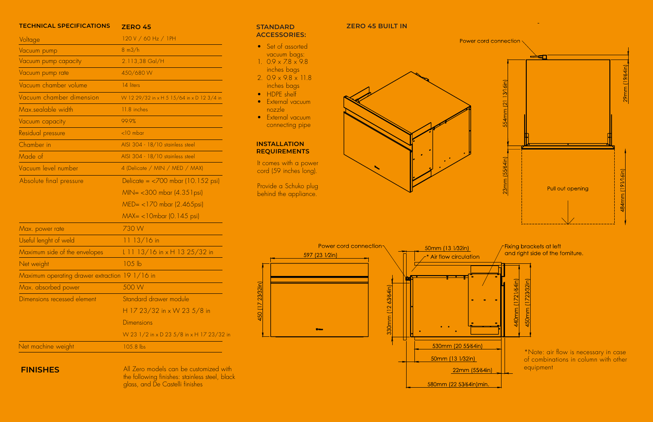### TECHNICAL SPECIFICATIONS ZERO 45

| Voltage                                         | 120 V / 60 Hz / 1PH                                        |
|-------------------------------------------------|------------------------------------------------------------|
| Vacuum pump                                     | $8 \text{ m3/h}$                                           |
| Vacuum pump capacity                            | 2.113,38 Gal/H                                             |
| Vacuum pump rate                                | 450/680 W                                                  |
| Vacuum chamber volume                           | 14 liters                                                  |
| Vacuum chamber dimension                        | W 12 29/32 in x H 5 15/64 in x D 12 3/4 in                 |
| Max sealable width                              | 11.8 inches                                                |
| Vacuum capacity                                 | 99.9%                                                      |
| Residual pressure                               | $<$ 10 mbar                                                |
| Chamber in                                      | AISI 304 - 18/10 stainless steel                           |
| Made of                                         | AISI 304 - 18/10 stainless steel                           |
| Vacuum level number                             | 4 (Delicate / MIN / MED / MAX)                             |
| Absolute final pressure                         | Delicate = $\langle 700 \text{ mbar} (10.152 \text{ psi})$ |
|                                                 | MIN= <300 mbar (4.351 psi)                                 |
|                                                 | MED= <170 mbar (2.465psi)                                  |
|                                                 | MAX= <10mbar (0.145 psi)                                   |
| Max. power rate                                 | 730W                                                       |
| Useful lenght of weld                           | $1113/16$ in                                               |
| Maximum side of the envelopes                   | $1113/16$ in x H 13 25/32 in                               |
| Net weight                                      | 105 <sub>lb</sub>                                          |
| Maximum operating drawer extraction $191/16$ in |                                                            |
| Max. absorbed power                             | 500 W                                                      |
| Dimensions recessed element                     | Standard drawer module                                     |
|                                                 | H 17 23/32 in x W 23 5/8 in                                |
|                                                 | <b>Dimensions</b>                                          |
|                                                 | W 23 1/2 in x D 23 5/8 in x H 17 23/32 in                  |
| Net machine weight                              | 105.8 lbs                                                  |

# $S$  **TANDARD**

- 
- 1.  $0.9 \times 7.8 \times 9.8$ i n c h e s bag s
- 
- 
- l
- l connecting pipe

l



l



**ZERO 45 BUILT IN** 

### **FINISHES**

All Zero models can be customized with l l l the following finishes: stainless steel, black glass, and De Castelli finishes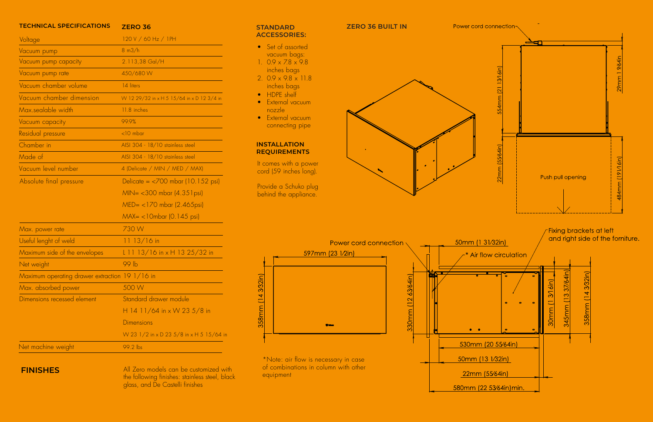- 
- inches bags
- inches bags
- 
- 
- connecting pipe

behind the appliance.

### **TECHNICAL SPECIFICATIONS ZERO 36**



| <u>I EUMNIUAL SPEUIFIUAI IUNS</u>              | <b>ZERO 36</b>                                             |
|------------------------------------------------|------------------------------------------------------------|
| Voltage                                        | 120 V / 60 Hz / 1PH                                        |
| Vacuum pump                                    | $8 \text{ m3/h}$                                           |
| Vacuum pump capacity                           | 2.113,38 Gal/H                                             |
| Vacuum pump rate                               | 450/680W                                                   |
| Vacuum chamber volume                          | 14 liters                                                  |
| Vacuum chamber dimension                       | W 12 29/32 in x H 5 15/64 in x D 12 3/4 in                 |
| Max.sealable width                             | 11.8 inches                                                |
| Vacuum capacity                                | 99.9%                                                      |
| Residual pressure                              | $<$ 10 mbar                                                |
| Chamber in                                     | AISI 304 - 18/10 stainless steel                           |
| Made of                                        | AISI 304 - 18/10 stainless steel                           |
| Vacuum level number                            | 4 (Delicate / MIN / MED / MAX)                             |
| Absolute final pressure                        | Delicate = $\langle 700 \text{ mbar} (10.152 \text{ psi})$ |
|                                                | MIN= <300 mbar (4.35 l psi)                                |
|                                                | MED= <170 mbar (2.465psi)                                  |
|                                                | MAX= <10mbar (0.145 psi)                                   |
| Max. power rate                                | 730W                                                       |
| Useful lenght of weld                          | $1113/16$ in                                               |
| Maximum side of the envelopes                  | L 11 13/16 in x H 13 25/32 in                              |
| Net weight                                     | 99 <sub>lb</sub>                                           |
| Maximum operating drawer extraction 19 1/16 in |                                                            |
| Max. absorbed power                            | 500 W                                                      |
| Dimensions recessed element                    | Standard drawer module                                     |
|                                                | H 14 11/64 in x W 23 5/8 in                                |
|                                                | <b>Dimensions</b>                                          |
|                                                | W 23 1/2 in x D 23 5/8 in x H 5 15/64 in                   |

### Net machine weight 199.2 lbs

**FINISHES** All Zero models can be customized with the following finishes: stainless steel, black glass, and De Castelli finishes